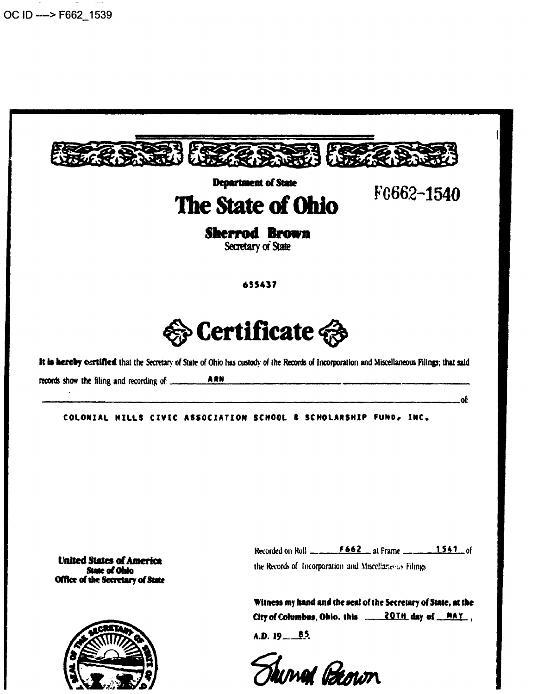

Thing Peown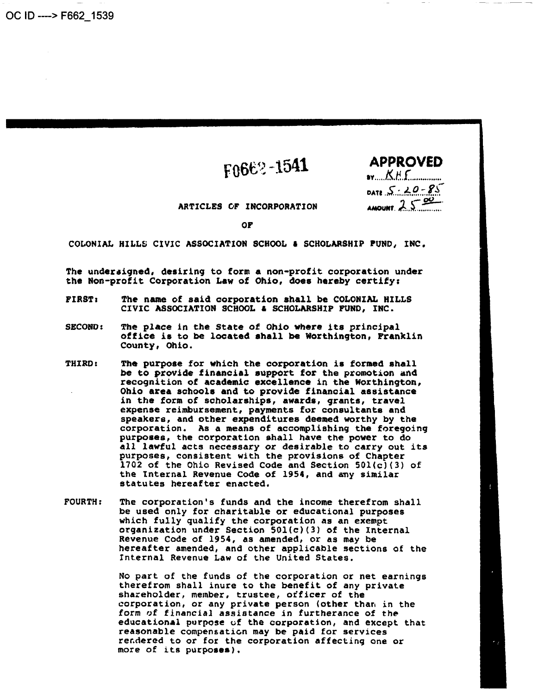# ${}_{F0}662 - 1541$

| <b>APPROVE</b> |  |
|----------------|--|
| $x_{1},,x_{n}$ |  |

 $DATE S : 20 - 85$ 

AMOUNT.  $2.$ 

ARTICLES OF INCORPORATION

Of'

COLONIAL HILLS ClVIC ASSOCIATION SCHOOL I SCHOLARSHIP PUND, INC.

The undersigned, desiring to form a non-profit corporation under the Non-profit Corporation Law of Ohio, does hereby certify:

- FIRST: The name of said corporation ahall be COLONIAL HILLS CIVIC ASSOCIATION SCHOOL & SCHOLARSHIP FUND, INC.
- SECOND: The place in the State of Ohio where its principal office is to be located shall be Worthington, Franklin County, Ohio.
- THIRD: The purpose for which the corporation is formed shall be to provide financial support for the promotion and recognition of academic excellence in the Worthington, Ohio area schools and to provide financial assistance in the form of scholarships, awards, qrants, travel expense reimbursement, payments for consultants and speakers, and other expenditures deemed worthy by the corporation. As a means of accomplishing the foregoing purposes, the corporation shall have the power to do all lawful acts necessary or desirable to carry out its purposes, consistent with the provisions of Chapter 1702 of the Ohio Revised Code and Section 501(c)(3) of the Internal Revenue Code of 1954, and any similar statutes hereafter enacted.
- FOURTH: The corporation's funds and the income therefrom shall be used only for charitable or educational purposes which fully qualify the corporation as an exempt organization under Section S0l(c)(3) of the Internal Revenue Code of 1954, as amended, or as may be hereafter amended, and other applicable sections of the Internal Revenue Law of the United States.

No part of the funds of the corporation or net earnings therefrom shall inure to the benefit of any private shareholder, member, trustee, officer of the corporation, or any private person (other than in the form of financial assistance in furtherance of the educational purpose uf the corporation, and except that reasonable compensaticn may be paid for services rendered to or for the corporation affecting one or more of its purposes).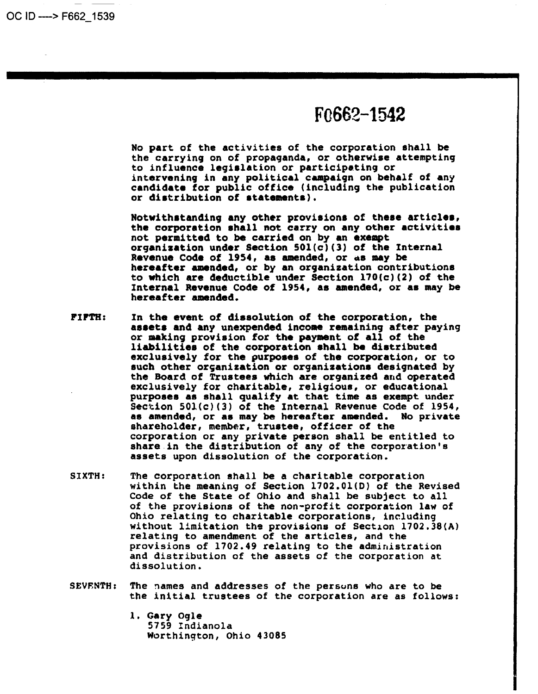OC ID ----> F662\_ 1539

## F<sub>0</sub>662-1542

No part of the activities of the corporation shall be the carrying on of propaganda, or otherwise attempting to influence legislation or participating or intervening in any political campaign on behalf of any candidate for public office (including the publication or diatribution of etatementa),

Notwithstanding any other provisions of these articles, the corporation shall not carry on any other activities<br>not permitted to be carried on by an exempt organization under Section  $501(c)(3)$  of the Internal Revenue Code of 1954, as amended, or as may be hereafter amended, or by an organization contributions to which are deductible under Section  $170(c)(2)$  of the Internal Revenue Code of 1954, as amended, or as may be hereafter amended.

- PIPTH: In the event of dissolution of the corporation, the aaaeta and any unexpended income remaining after paying or making provision for the payment of all of the liabilities of the corporation shall be distributed exclusively for the purposes of the corporation, or to such other organization or organizations designated by the Board of Trustees which are organized and operated exclusively for charitable, religious, or educational purposes as shall qualify at that time as exempt under Section 501(c)(3) of the Internal Revenue Code of 1954,<br>as amended, or as may be hereafter amended. No private shareholder, member, trustee, officer of the corporation or any private person shall be entitled to share in the distribution of any of the corporation's assets upon dissolution of the corporation.
- SIXTH: The corporation shall be a charitable corporation within the meaning of Section 1702.01(0) of the Revised Code of the State of Ohio and shall be subject to all of the provisions of the non-profit corporation law of Ohio relating to charitable corporations, including without limitation the provisions of Section 1702.38(A) relating to amendment of the articles, and the provisions of 1702.49 relating to the administration and distribution of the assets of the corporation at dissolution.
- SEVENTH: The names and addresses of the persons who are to be the initial trustees of the corporation are as follows:
	- l. Gary Ogle 5759 Indianola Worthington, Ohio 43085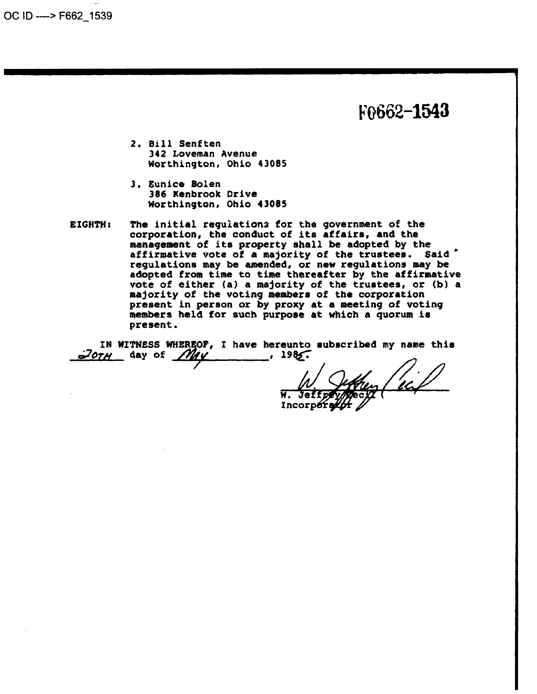OC ID ----> F662 1539

## F0662-1543

- 2. Bill Senften 342 Loveman Avenue Worthington, Ohio 43085
- 3. Eunice Bolen 386 Kenbrook Drive Worthington, Ohio 43085
- EIGHTH: The initial regulations for the government of the corporation, the conduct of its affairs, and the management of its property shall be adopted by the affirmative vote of a majority of the trustees. Said regulations may be amended, or new regulations may be adopted from time to time thereafter by the affirmative vote of either (a) a majority of the trustees, or (b) a majority of the voting members of the corporation present in person or by proxy at a meeting of voting members held for such purpose at which a quorum is present.

IN WITNESS WHEREOF, I have hereunto subscribed my name this  $\omega$ <sub>o</sub>  $\gamma$ <sub>H</sub> day of  $\gamma$  $\sim$  1985.

Incor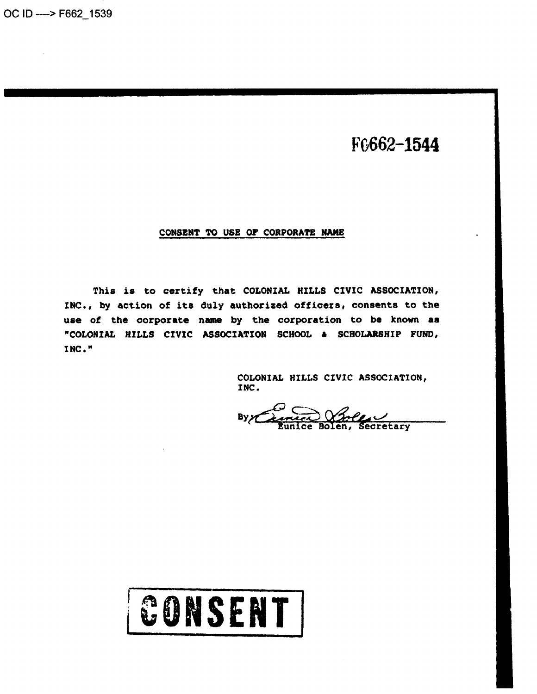F0662-1544

#### CONSENT TO USE OF CORPORATE NAME

This is to certify that COLONIAL HILLS CIVIC ASSOCIATION, INC., by action of its duly authorized officers, consents to the use of the corporate name by the corporation to be known as "COLONIAL HILLS CIVIC ASSOCIATION SCHOOL & SCHOLARSHIP FUND, INC."

> COLONIAL HILLS CIVIC ASSOCIATION, INC.

Miller Contractory Byz